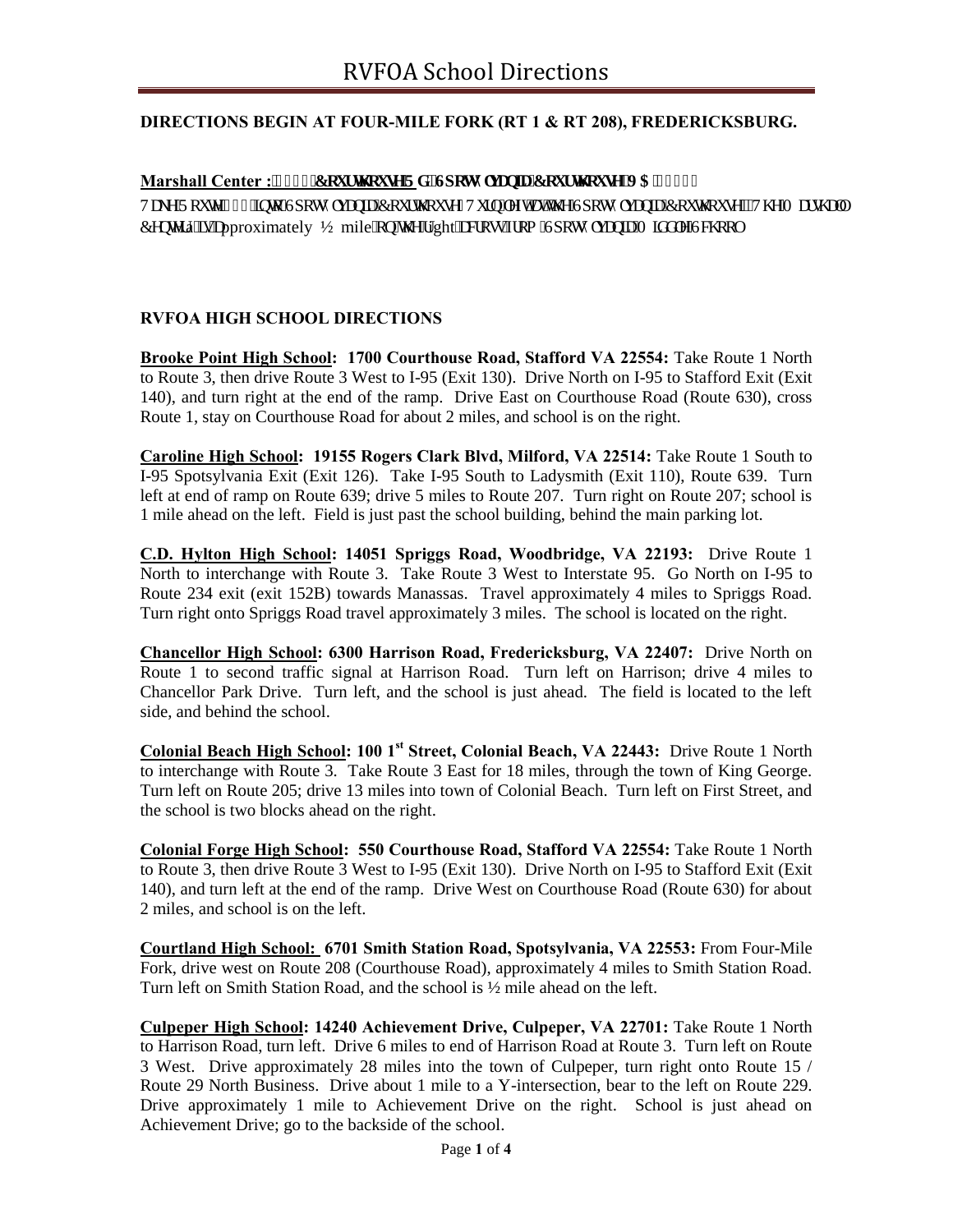## **DIRECTIONS BEGIN AT FOUR-MILE FORK (RT 1 & RT 208), FREDERICKSBURG.**

### Marshall Center : !! 942'Eqwt yj qwug'Tf. 'Ur quuf nxcple'Eqwt yj qwug.'XC'44775

Vcng'Tqwg'42: 'kpvq'Urquq{ nxcpkc'Equtyi qwug0Vwtp''nghy'cv'yi g'Urquq{ nxcpkc'Equyi qwug0"Vj g'O ctuj cm Egpy ta' ku'cpproximately ½ mile''qp''y g'tight''cetquu''htqo ''Urqua{ nxcpkc'O kf f ng''Uejqqn

#### **RVFOA HIGH SCHOOL DIRECTIONS**

**Brooke Point High School: 1700 Courthouse Road, Stafford VA 22554:** Take Route 1 North to Route 3, then drive Route 3 West to I-95 (Exit 130). Drive North on I-95 to Stafford Exit (Exit 140), and turn right at the end of the ramp. Drive East on Courthouse Road (Route 630), cross Route 1, stay on Courthouse Road for about 2 miles, and school is on the right.

**Caroline High School: 19155 Rogers Clark Blvd, Milford, VA 22514:** Take Route 1 South to I-95 Spotsylvania Exit (Exit 126). Take I-95 South to Ladysmith (Exit 110), Route 639. Turn left at end of ramp on Route 639; drive 5 miles to Route 207. Turn right on Route 207; school is 1 mile ahead on the left. Field is just past the school building, behind the main parking lot.

**C.D. Hylton High School: 14051 Spriggs Road, Woodbridge, VA 22193:** Drive Route 1 North to interchange with Route 3. Take Route 3 West to Interstate 95. Go North on I-95 to Route 234 exit (exit 152B) towards Manassas. Travel approximately 4 miles to Spriggs Road. Turn right onto Spriggs Road travel approximately 3 miles. The school is located on the right.

**Chancellor High School: 6300 Harrison Road, Fredericksburg, VA 22407:** Drive North on Route 1 to second traffic signal at Harrison Road. Turn left on Harrison; drive 4 miles to Chancellor Park Drive. Turn left, and the school is just ahead. The field is located to the left side, and behind the school.

**Colonial Beach High School: 100 1st Street, Colonial Beach, VA 22443:** Drive Route 1 North to interchange with Route 3. Take Route 3 East for 18 miles, through the town of King George. Turn left on Route 205; drive 13 miles into town of Colonial Beach. Turn left on First Street, and the school is two blocks ahead on the right.

**Colonial Forge High School: 550 Courthouse Road, Stafford VA 22554:** Take Route 1 North to Route 3, then drive Route 3 West to I-95 (Exit 130). Drive North on I-95 to Stafford Exit (Exit 140), and turn left at the end of the ramp. Drive West on Courthouse Road (Route 630) for about 2 miles, and school is on the left.

**Courtland High School: 6701 Smith Station Road, Spotsylvania, VA 22553:** From Four-Mile Fork, drive west on Route 208 (Courthouse Road), approximately 4 miles to Smith Station Road. Turn left on Smith Station Road, and the school is ½ mile ahead on the left.

**Culpeper High School: 14240 Achievement Drive, Culpeper, VA 22701:** Take Route 1 North to Harrison Road, turn left. Drive 6 miles to end of Harrison Road at Route 3. Turn left on Route 3 West. Drive approximately 28 miles into the town of Culpeper, turn right onto Route 15 / Route 29 North Business. Drive about 1 mile to a Y-intersection, bear to the left on Route 229. Drive approximately 1 mile to Achievement Drive on the right. School is just ahead on Achievement Drive; go to the backside of the school.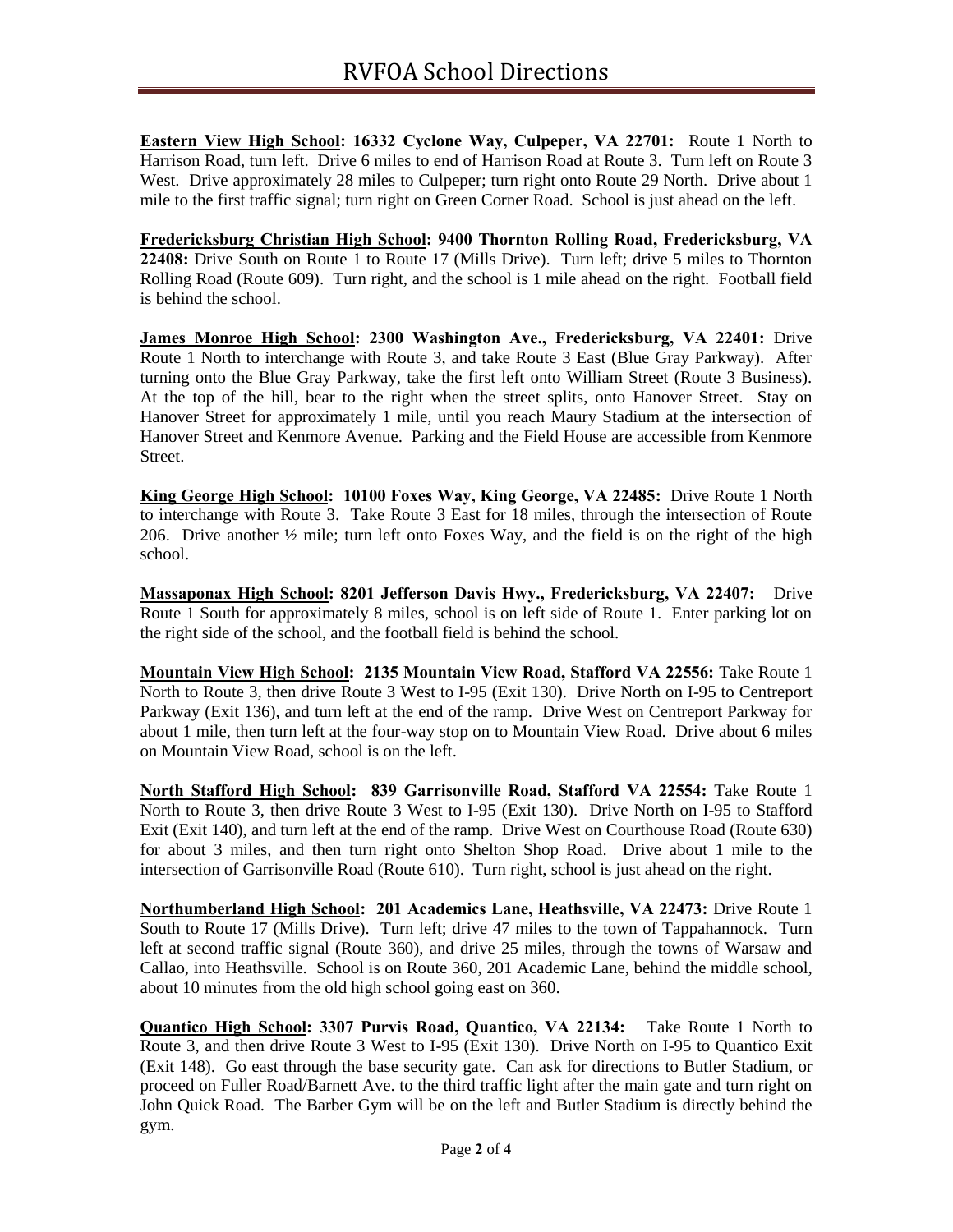**Eastern View High School: 16332 Cyclone Way, Culpeper, VA 22701:** Route 1 North to Harrison Road, turn left. Drive 6 miles to end of Harrison Road at Route 3. Turn left on Route 3 West. Drive approximately 28 miles to Culpeper; turn right onto Route 29 North. Drive about 1 mile to the first traffic signal; turn right on Green Corner Road. School is just ahead on the left.

**Fredericksburg Christian High School: 9400 Thornton Rolling Road, Fredericksburg, VA 22408:** Drive South on Route 1 to Route 17 (Mills Drive). Turn left; drive 5 miles to Thornton Rolling Road (Route 609). Turn right, and the school is 1 mile ahead on the right. Football field is behind the school.

**James Monroe High School: 2300 Washington Ave., Fredericksburg, VA 22401:** Drive Route 1 North to interchange with Route 3, and take Route 3 East (Blue Gray Parkway). After turning onto the Blue Gray Parkway, take the first left onto William Street (Route 3 Business). At the top of the hill, bear to the right when the street splits, onto Hanover Street. Stay on Hanover Street for approximately 1 mile, until you reach Maury Stadium at the intersection of Hanover Street and Kenmore Avenue. Parking and the Field House are accessible from Kenmore Street.

**King George High School: 10100 Foxes Way, King George, VA 22485:** Drive Route 1 North to interchange with Route 3. Take Route 3 East for 18 miles, through the intersection of Route 206. Drive another  $\frac{1}{2}$  mile; turn left onto Foxes Way, and the field is on the right of the high school.

**Massaponax High School: 8201 Jefferson Davis Hwy., Fredericksburg, VA 22407:** Drive Route 1 South for approximately 8 miles, school is on left side of Route 1. Enter parking lot on the right side of the school, and the football field is behind the school.

**Mountain View High School: 2135 Mountain View Road, Stafford VA 22556:** Take Route 1 North to Route 3, then drive Route 3 West to I-95 (Exit 130). Drive North on I-95 to Centreport Parkway (Exit 136), and turn left at the end of the ramp. Drive West on Centreport Parkway for about 1 mile, then turn left at the four-way stop on to Mountain View Road. Drive about 6 miles on Mountain View Road, school is on the left.

**North Stafford High School: 839 Garrisonville Road, Stafford VA 22554:** Take Route 1 North to Route 3, then drive Route 3 West to I-95 (Exit 130). Drive North on I-95 to Stafford Exit (Exit 140), and turn left at the end of the ramp. Drive West on Courthouse Road (Route 630) for about 3 miles, and then turn right onto Shelton Shop Road. Drive about 1 mile to the intersection of Garrisonville Road (Route 610). Turn right, school is just ahead on the right.

**Northumberland High School: 201 Academics Lane, Heathsville, VA 22473:** Drive Route 1 South to Route 17 (Mills Drive). Turn left; drive 47 miles to the town of Tappahannock.Turn left at second traffic signal (Route 360), and drive 25 miles, through the towns of Warsaw and Callao, into Heathsville. School is on Route 360, 201 Academic Lane, behind the middle school, about 10 minutes from the old high school going east on 360.

**Quantico High School: 3307 Purvis Road, Quantico, VA 22134:** Take Route 1 North to Route 3, and then drive Route 3 West to I-95 (Exit 130). Drive North on I-95 to Quantico Exit (Exit 148). Go east through the base security gate. Can ask for directions to Butler Stadium, or proceed on Fuller Road/Barnett Ave. to the third traffic light after the main gate and turn right on John Quick Road. The Barber Gym will be on the left and Butler Stadium is directly behind the gym.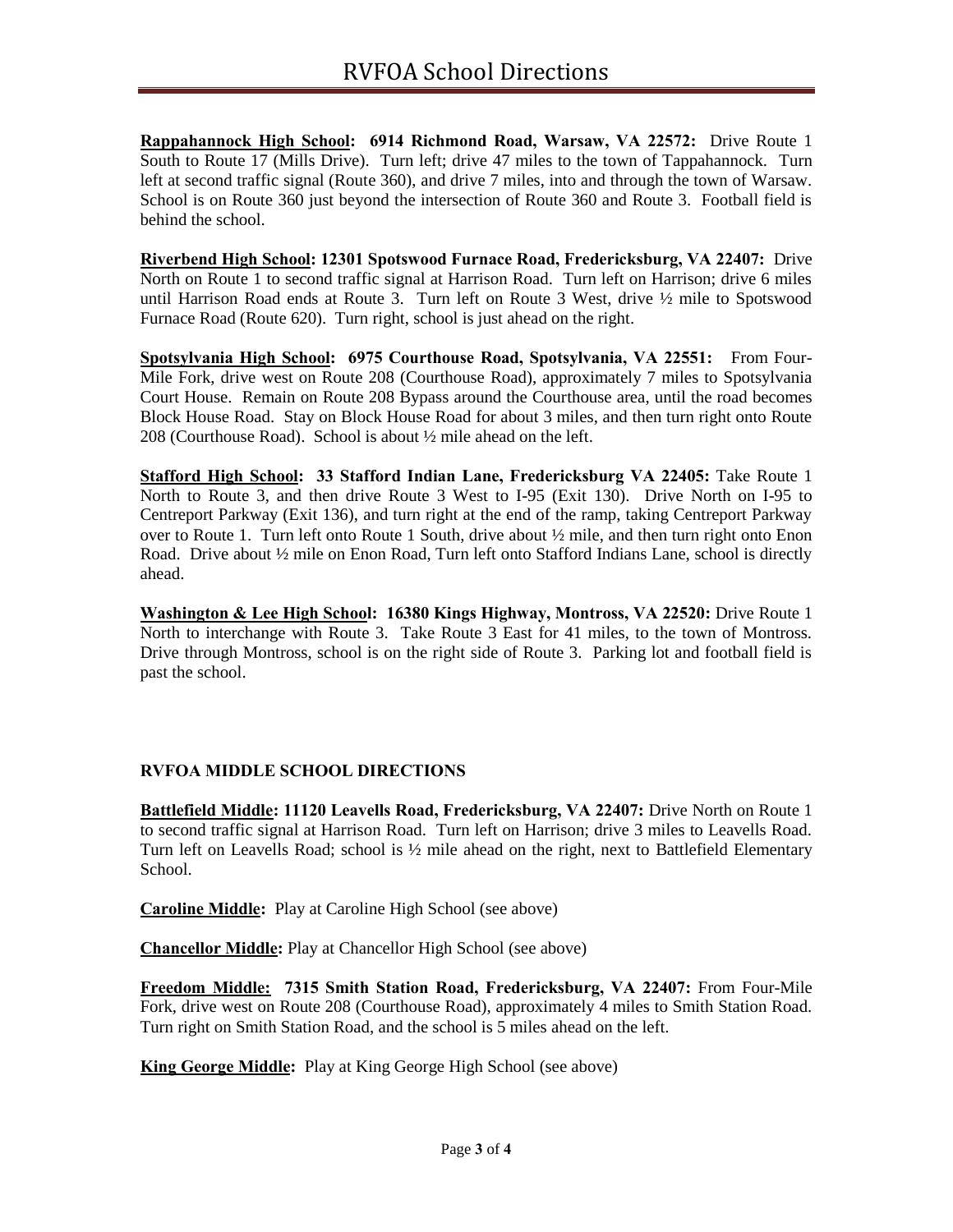**Rappahannock High School: 6914 Richmond Road, Warsaw, VA 22572:** Drive Route 1 South to Route 17 (Mills Drive). Turn left; drive 47 miles to the town of Tappahannock.Turn left at second traffic signal (Route 360), and drive 7 miles, into and through the town of Warsaw. School is on Route 360 just beyond the intersection of Route 360 and Route 3. Football field is behind the school.

**Riverbend High School: 12301 Spotswood Furnace Road, Fredericksburg, VA 22407:** Drive North on Route 1 to second traffic signal at Harrison Road. Turn left on Harrison; drive 6 miles until Harrison Road ends at Route 3. Turn left on Route 3 West, drive ½ mile to Spotswood Furnace Road (Route 620). Turn right, school is just ahead on the right.

**Spotsylvania High School: 6975 Courthouse Road, Spotsylvania, VA 22551:** From Four-Mile Fork, drive west on Route 208 (Courthouse Road), approximately 7 miles to Spotsylvania Court House. Remain on Route 208 Bypass around the Courthouse area, until the road becomes Block House Road. Stay on Block House Road for about 3 miles, and then turn right onto Route 208 (Courthouse Road). School is about ½ mile ahead on the left.

**Stafford High School: 33 Stafford Indian Lane, Fredericksburg VA 22405:** Take Route 1 North to Route 3, and then drive Route 3 West to I-95 (Exit 130). Drive North on I-95 to Centreport Parkway (Exit 136), and turn right at the end of the ramp, taking Centreport Parkway over to Route 1. Turn left onto Route 1 South, drive about ½ mile, and then turn right onto Enon Road. Drive about  $\frac{1}{2}$  mile on Enon Road, Turn left onto Stafford Indians Lane, school is directly ahead.

**Washington & Lee High School: 16380 Kings Highway, Montross, VA 22520:** Drive Route 1 North to interchange with Route 3. Take Route 3 East for 41 miles, to the town of Montross. Drive through Montross, school is on the right side of Route 3. Parking lot and football field is past the school.

## **RVFOA MIDDLE SCHOOL DIRECTIONS**

**Battlefield Middle: 11120 Leavells Road, Fredericksburg, VA 22407:** Drive North on Route 1 to second traffic signal at Harrison Road. Turn left on Harrison; drive 3 miles to Leavells Road. Turn left on Leavells Road; school is ½ mile ahead on the right, next to Battlefield Elementary School.

**Caroline Middle:** Play at Caroline High School (see above)

**Chancellor Middle:** Play at Chancellor High School (see above)

**Freedom Middle: 7315 Smith Station Road, Fredericksburg, VA 22407:** From Four-Mile Fork, drive west on Route 208 (Courthouse Road), approximately 4 miles to Smith Station Road. Turn right on Smith Station Road, and the school is 5 miles ahead on the left.

**King George Middle:** Play at King George High School (see above)